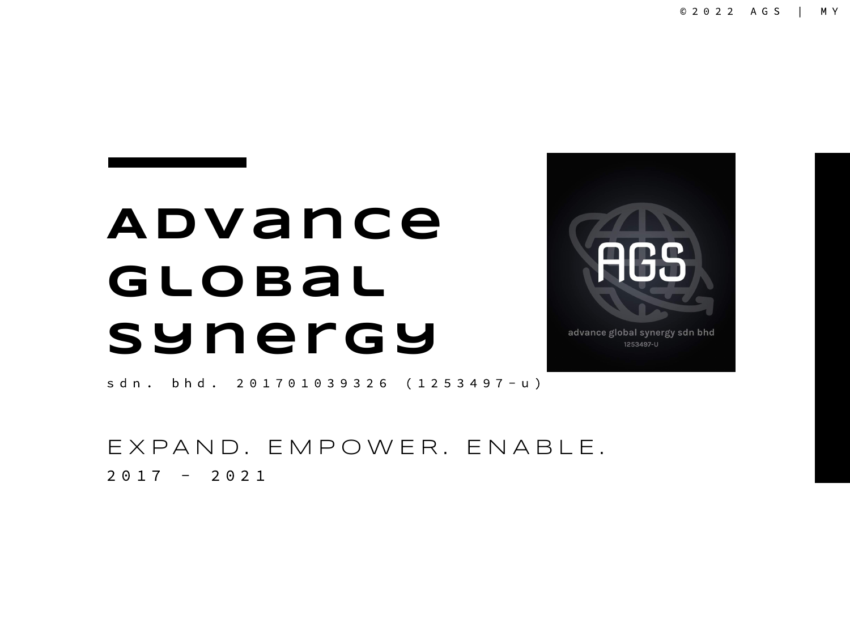## **Advance Global Synergy**



1253497-U

s d n . b h d . 2 0 1 7 0 1 0 3 9 3 2 6 ( 1 2 5 3 4 9 7 - u )

E X P A N D. E M P O W E R. E N A B L E.  $2017 - 2021$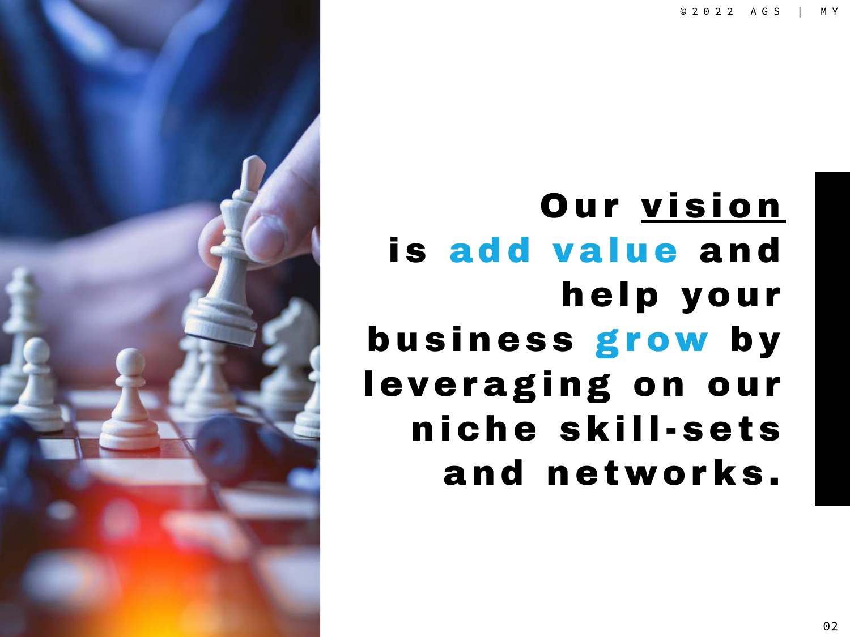© 2 0 2 2 A G S | M Y



Our vision is add value and help your business grow by leveraging on our niche skill-sets and networ ks.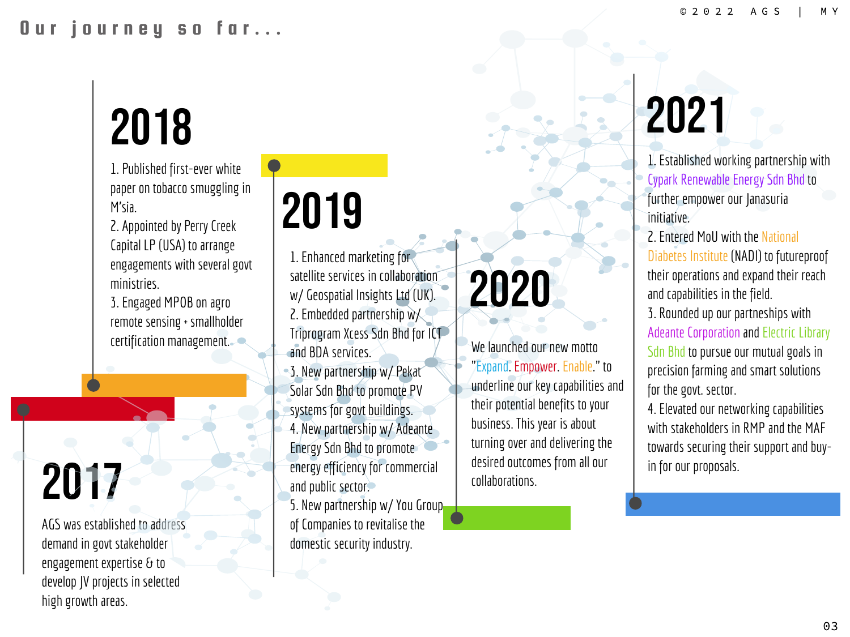# 2018

1. Published first-ever white paper on tobacco smuggling in M'sia.

2. Appointed by Perry Creek Capital LP (USA) to arrange engagements with several govt ministries.

3. Engaged MPOB on agro remote sensing+ smallholder certification management.

## 2017

AGS was established to address demand ingovt stakeholder engagement expertise & to develop JV projects in selected high growth areas.

## 2019

1. Enhanced marketing for satellite services in collaboration w/ Geospatial Insights Ltd (UK). 2. Embedded partnership  $w$ Triprogram Xcess Sdn Bhd for ICT and BDA services. 3. New partnership w/ Pekat Solar Sdn Bhd to promote PV systems for govt buildings. 4. New partnership w/ Adeante Energy Sdn Bhd to promote energy efficiency for commercial and public sector.

5. New partnership w/ You Group of Companies to revitalise the domestic security industry.

# 2020

We launched our new motto "Expand. Empower. Enable." to underline our key capabilities and their potential benefits to your business. This year is about turning over and delivering the desired outcomes from all our collaborations.

# 2021

1. Established working partnership with Cypark Renewable Energy Sdn Bhd to further empower our Janasuria initiative.

2. Entered Moll with the National Diabetes Institute (NADI) to futureproof their operations and expand their reach and capabilities in the field. 3. Rounded up our partneships with Adeante Corporation and Electric Library Sdn Bhd to pursue our mutual goals in precision farming and smart solutions for the govt. sector.

4. Elevated our networking capabilities with stakeholders in RMP and the MAF towards securing their support and buyin for our proposals.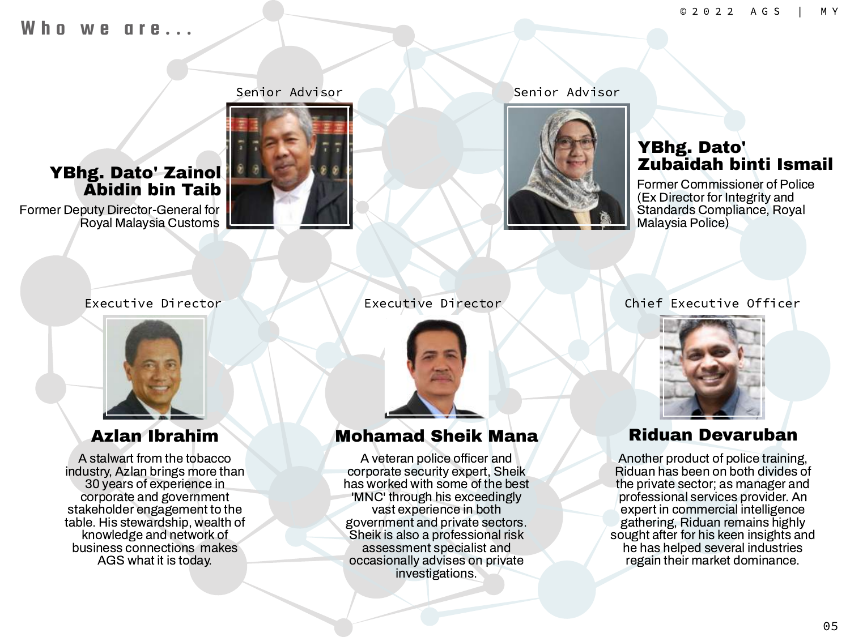### $h \, \boldsymbol{\mathsf{n}}$  we are ...





### Senior Advisor Senior Advisor



### YBhg. Dato' Zubaidah binti Ismail

Former Commissioner of Police (Ex Director for Integrity and Standards Compliance, Royal Malaysia Police)



A stalwart from the tobacco industry, Azlan brings more than 30 years of experience in corporate and government stakeholder engagement to the table. His stewardship, wealth of knowledge and network of business connections makes AGS what it is today.



### Azlan Ibrahim Mohamad Sheik Mana Riduan Devaruban

A veteran police officer and corporate security expert, Sheik has worked with some of the best 'MNC' through his exceedingly vast experience in both government and private sectors. Sheik is also a professional risk assessment specialist and occasionally advises on private investigations.

### Executive Director Executive Director Chief Executive Officer



Another product of police training, Riduan has been on both divides of the private sector; as manager and professional services provider. An expert in commercial intelligence gathering, Riduan remains highly sought after for his keen insights and he has helped several industries regain their market dominance.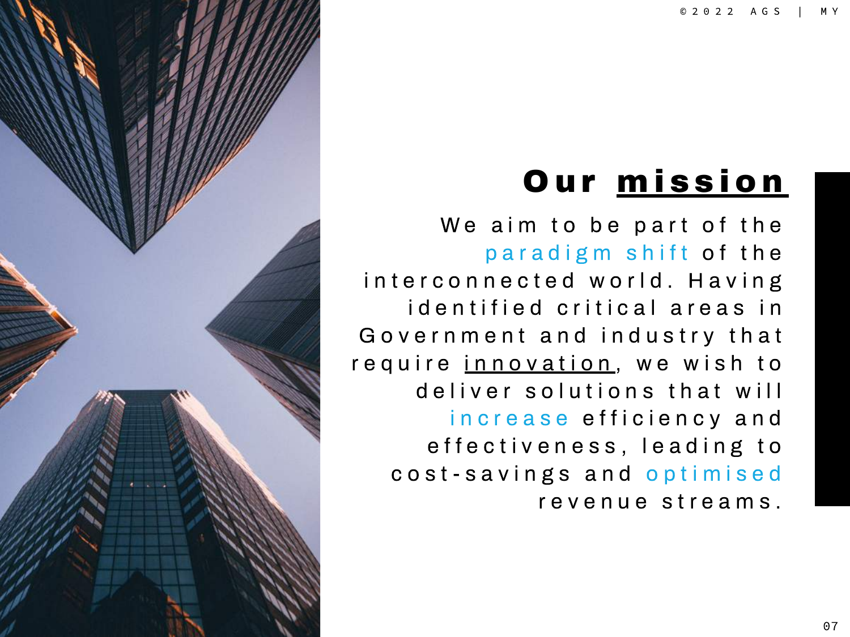## **Our mission**

We aim to be part of the paradigm shift of the interconnected world. Having id entified critical areas in Government and industry that require innovation, we wish to deliver solutions that will increase efficiency and effectiveness, leading to cost-savings and optimised revenue streams.

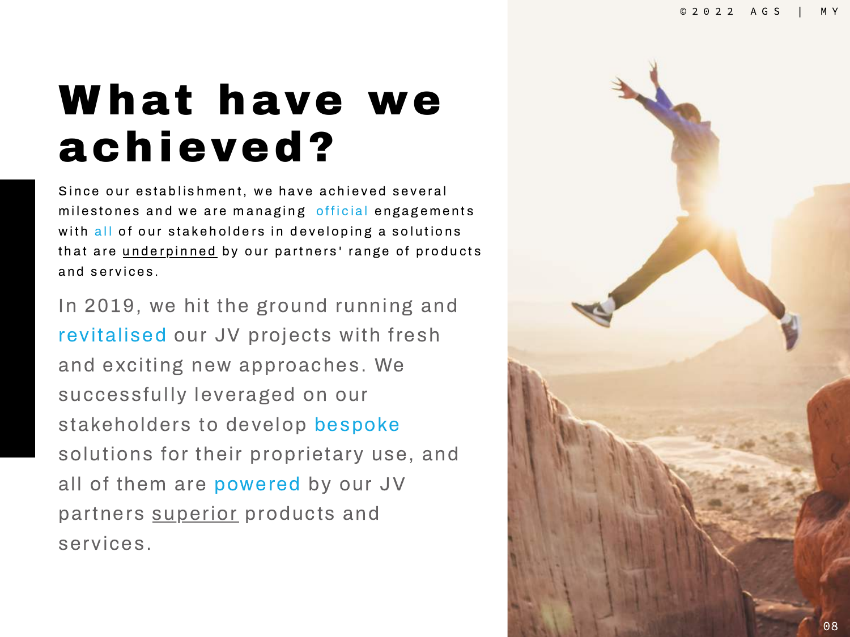## What have we achieved?

Since our establishment, we have achieved several milestones and we are managing official engagements with all of our stakeholders in developing a solutions that are underpinned by our partners' range of products and services.

In 2019, we hit the ground running and revitalised our JV projects with fresh and exciting new approaches. We successfully leveraged on our stakeholders to develop bespoke solutions for their proprietary use, and all of them are powered by our JV partners superior products and services.

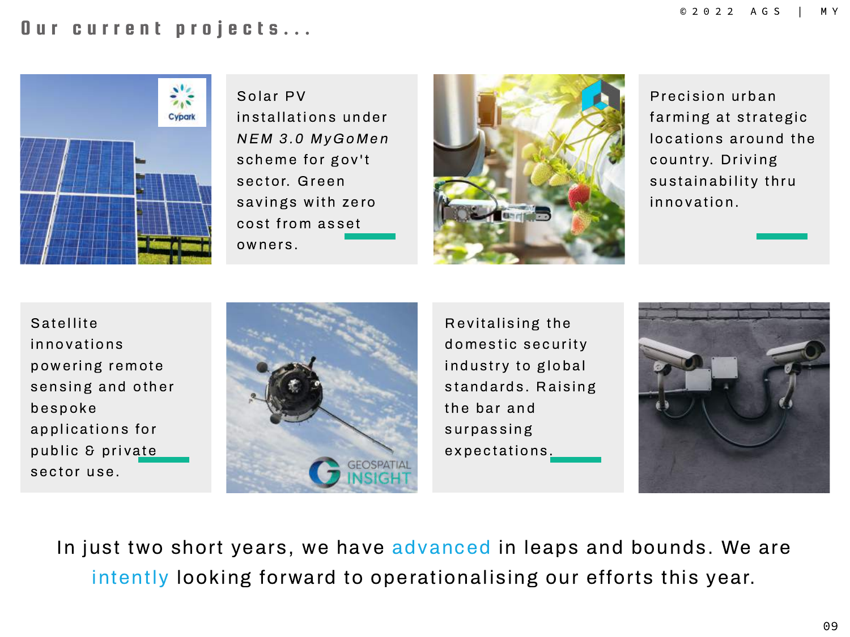### Our current projects...



Solar PV installations under NEM 3.0 MyGoMen scheme for gov't sector. Green. savings with zero cost from asset owners.



Precision urban farming at strategic locations around the country. Driving sustainability thru innovation.

Sa tellite in n o v ations powering remote sensing and other b e s p o ke applications for public & private sector use.



Revitalising the domestic security industry to global standards. Raising the bar and surpassing expectations.



In just two short years, we have advanced in leaps and bounds. We are intently looking forward to operationalising our efforts this year.